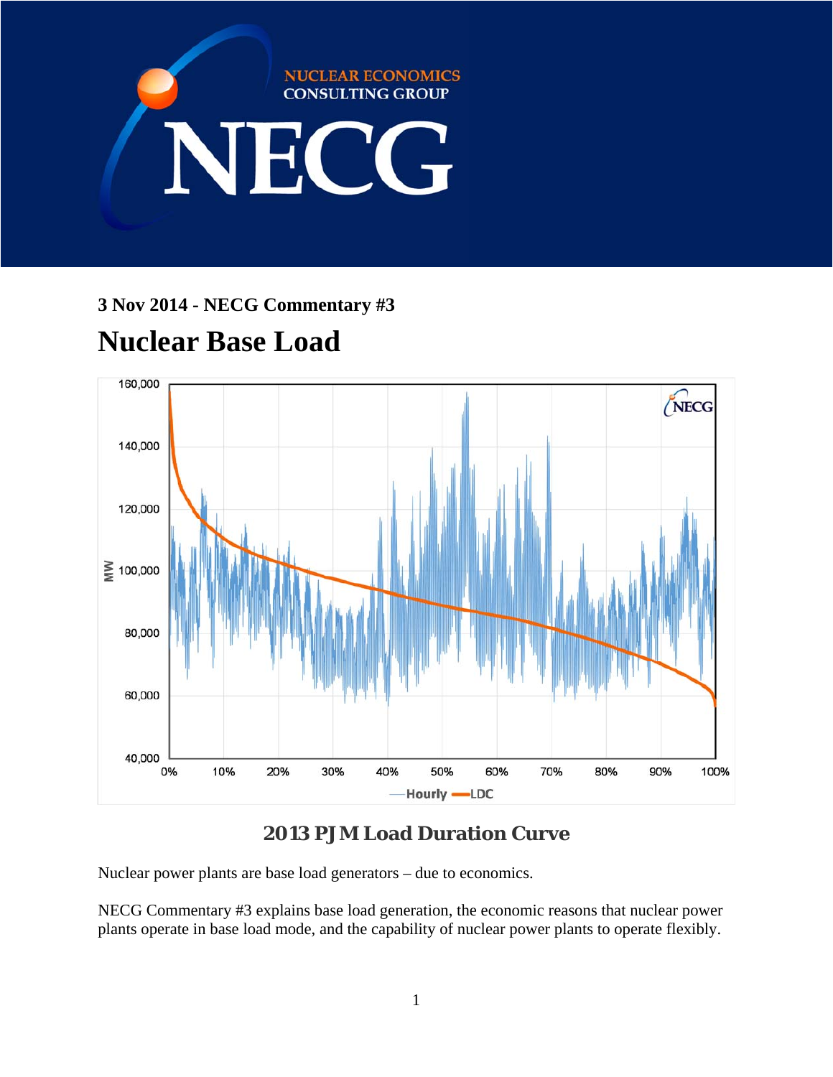

# **3 Nov 2014 - NECG Commentary #3**

# **Nuclear Base Load**



# **2013 PJM Load Duration Curve**

Nuclear power plants are base load generators – due to economics.

NECG Commentary #3 explains base load generation, the economic reasons that nuclear power plants operate in base load mode, and the capability of nuclear power plants to operate flexibly.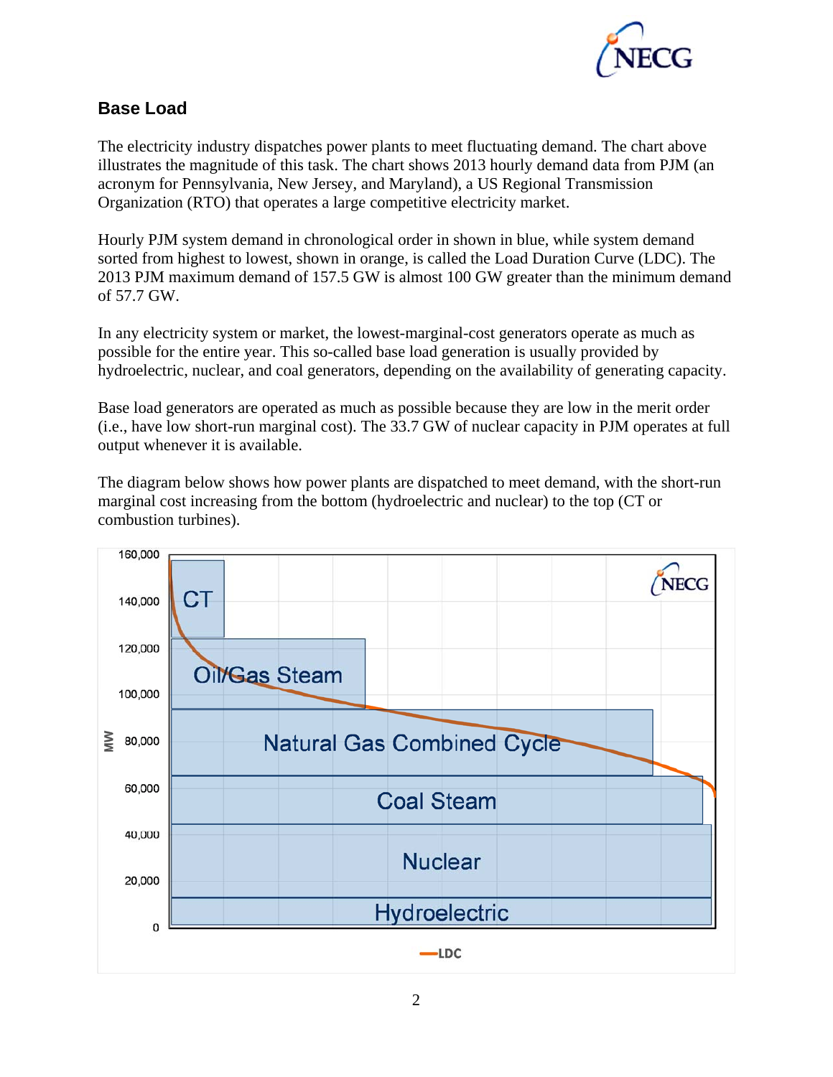

## **Base Load**

The electricity industry dispatches power plants to meet fluctuating demand. The chart above illustrates the magnitude of this task. The chart shows 2013 hourly demand data from PJM (an acronym for Pennsylvania, New Jersey, and Maryland), a US Regional Transmission Organization (RTO) that operates a large competitive electricity market.

Hourly PJM system demand in chronological order in shown in blue, while system demand sorted from highest to lowest, shown in orange, is called the Load Duration Curve (LDC). The 2013 PJM maximum demand of 157.5 GW is almost 100 GW greater than the minimum demand of 57.7 GW.

In any electricity system or market, the lowest-marginal-cost generators operate as much as possible for the entire year. This so-called base load generation is usually provided by hydroelectric, nuclear, and coal generators, depending on the availability of generating capacity.

Base load generators are operated as much as possible because they are low in the merit order (i.e., have low short-run marginal cost). The 33.7 GW of nuclear capacity in PJM operates at full output whenever it is available.

The diagram below shows how power plants are dispatched to meet demand, with the short-run marginal cost increasing from the bottom (hydroelectric and nuclear) to the top (CT or combustion turbines).

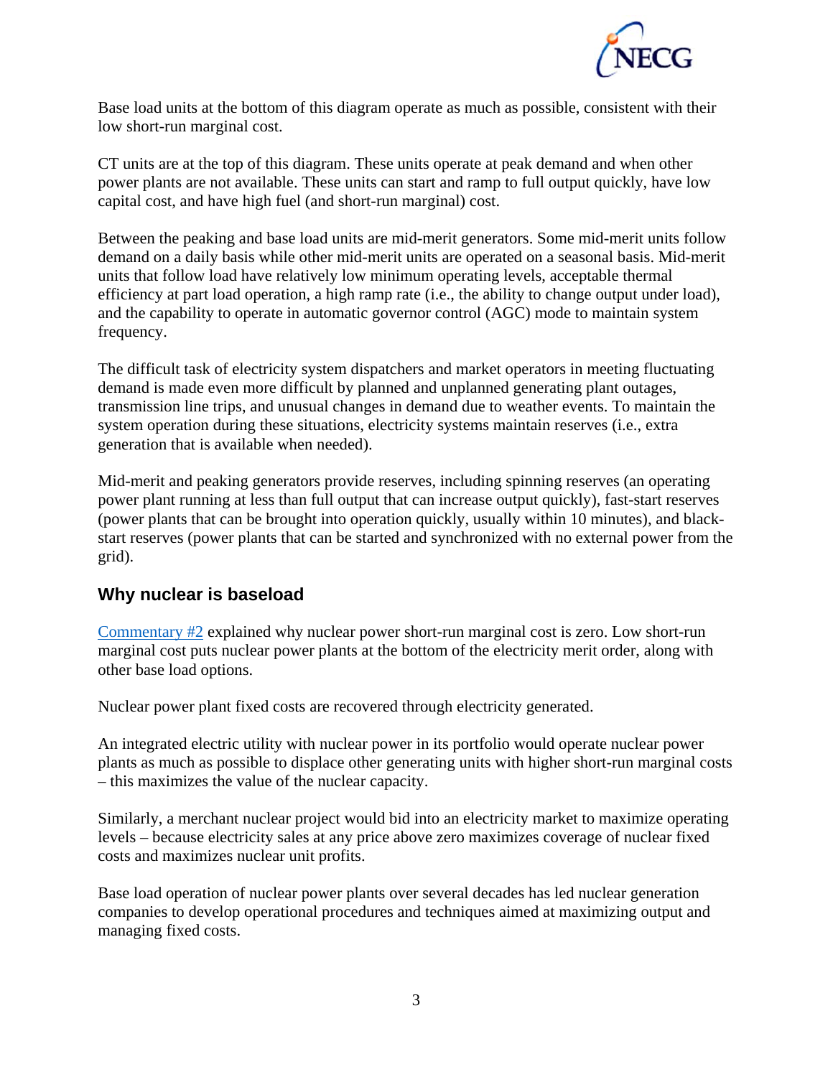

Base load units at the bottom of this diagram operate as much as possible, consistent with their low short-run marginal cost.

CT units are at the top of this diagram. These units operate at peak demand and when other power plants are not available. These units can start and ramp to full output quickly, have low capital cost, and have high fuel (and short-run marginal) cost.

Between the peaking and base load units are mid-merit generators. Some mid-merit units follow demand on a daily basis while other mid-merit units are operated on a seasonal basis. Mid-merit units that follow load have relatively low minimum operating levels, acceptable thermal efficiency at part load operation, a high ramp rate (i.e., the ability to change output under load), and the capability to operate in automatic governor control (AGC) mode to maintain system frequency.

The difficult task of electricity system dispatchers and market operators in meeting fluctuating demand is made even more difficult by planned and unplanned generating plant outages, transmission line trips, and unusual changes in demand due to weather events. To maintain the system operation during these situations, electricity systems maintain reserves (i.e., extra generation that is available when needed).

Mid-merit and peaking generators provide reserves, including spinning reserves (an operating power plant running at less than full output that can increase output quickly), fast-start reserves (power plants that can be brought into operation quickly, usually within 10 minutes), and blackstart reserves (power plants that can be started and synchronized with no external power from the grid).

#### **Why nuclear is baseload**

Commentary #2 explained why nuclear power short-run marginal cost is zero. Low short-run marginal cost puts nuclear power plants at the bottom of the electricity merit order, along with other base load options.

Nuclear power plant fixed costs are recovered through electricity generated.

An integrated electric utility with nuclear power in its portfolio would operate nuclear power plants as much as possible to displace other generating units with higher short-run marginal costs – this maximizes the value of the nuclear capacity.

Similarly, a merchant nuclear project would bid into an electricity market to maximize operating levels – because electricity sales at any price above zero maximizes coverage of nuclear fixed costs and maximizes nuclear unit profits.

Base load operation of nuclear power plants over several decades has led nuclear generation companies to develop operational procedures and techniques aimed at maximizing output and managing fixed costs.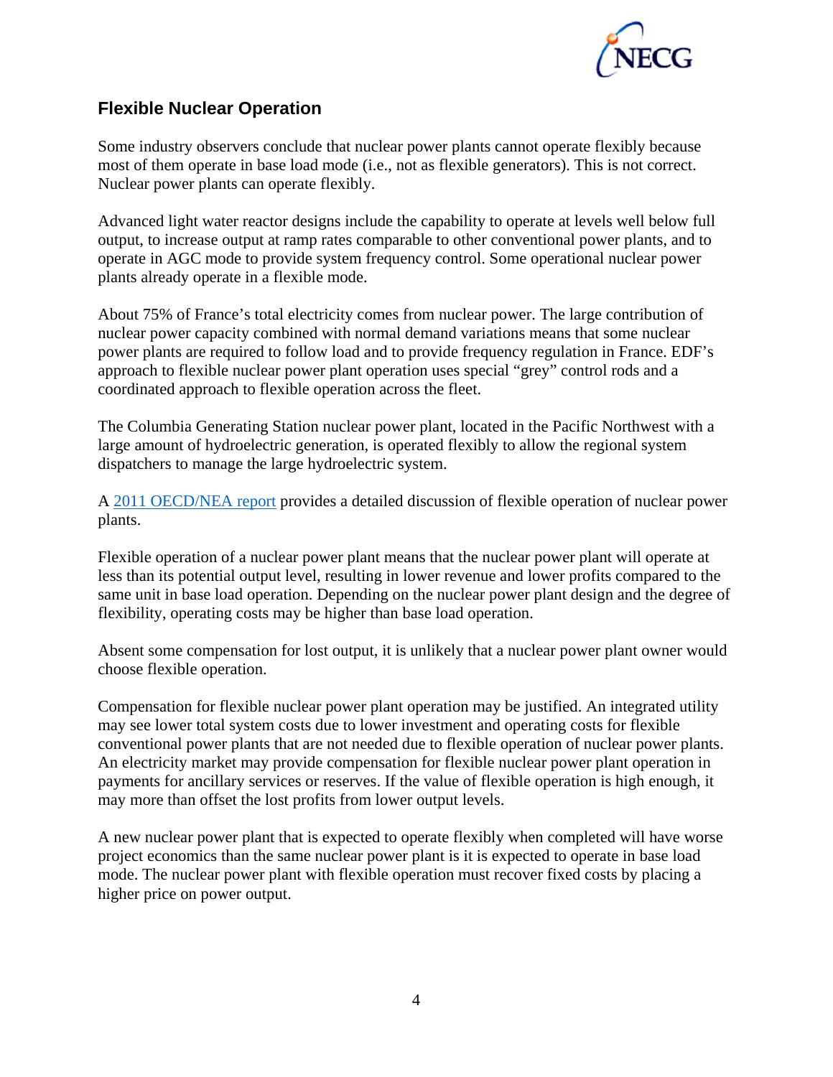

#### **Flexible Nuclear Operation**

Some industry observers conclude that nuclear power plants cannot operate flexibly because most of them operate in base load mode (i.e., not as flexible generators). This is not correct. Nuclear power plants can operate flexibly.

Advanced light water reactor designs include the capability to operate at levels well below full output, to increase output at ramp rates comparable to other conventional power plants, and to operate in AGC mode to provide system frequency control. Some operational nuclear power plants already operate in a flexible mode.

About 75% of France's total electricity comes from nuclear power. The large contribution of nuclear power capacity combined with normal demand variations means that some nuclear power plants are required to follow load and to provide frequency regulation in France. EDF's approach to flexible nuclear power plant operation uses special "grey" control rods and a coordinated approach to flexible operation across the fleet.

The Columbia Generating Station nuclear power plant, located in the Pacific Northwest with a large amount of hydroelectric generation, is operated flexibly to allow the regional system dispatchers to manage the large hydroelectric system.

A 2011 OECD/NEA report provides a detailed discussion of flexible operation of nuclear power plants.

Flexible operation of a nuclear power plant means that the nuclear power plant will operate at less than its potential output level, resulting in lower revenue and lower profits compared to the same unit in base load operation. Depending on the nuclear power plant design and the degree of flexibility, operating costs may be higher than base load operation.

Absent some compensation for lost output, it is unlikely that a nuclear power plant owner would choose flexible operation.

Compensation for flexible nuclear power plant operation may be justified. An integrated utility may see lower total system costs due to lower investment and operating costs for flexible conventional power plants that are not needed due to flexible operation of nuclear power plants. An electricity market may provide compensation for flexible nuclear power plant operation in payments for ancillary services or reserves. If the value of flexible operation is high enough, it may more than offset the lost profits from lower output levels.

A new nuclear power plant that is expected to operate flexibly when completed will have worse project economics than the same nuclear power plant is it is expected to operate in base load mode. The nuclear power plant with flexible operation must recover fixed costs by placing a higher price on power output.